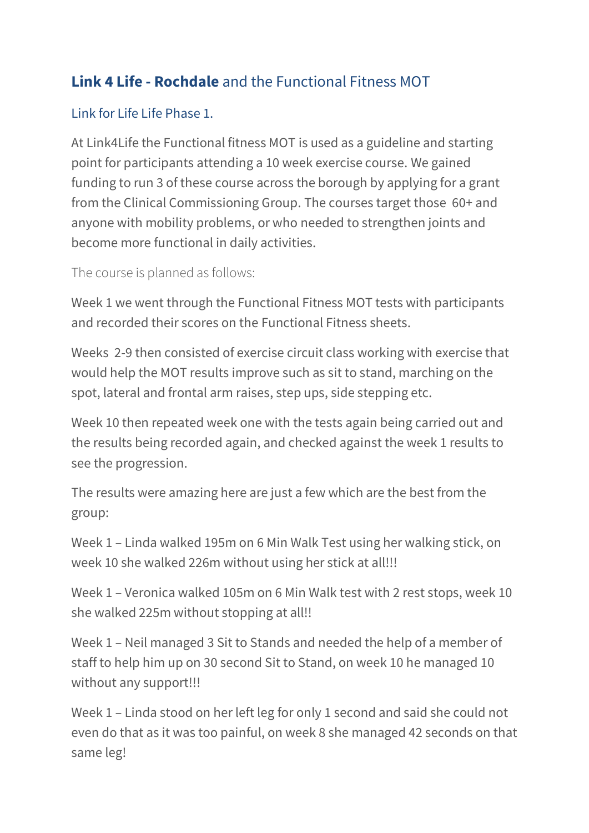## **Link 4 Life - Rochdale** and the Functional Fitness MOT

## Link for Life Life Phase 1.

At Link4Life the Functional fitness MOT is used as a guideline and starting point for participants attending a 10 week exercise course. We gained funding to run 3 of these course across the borough by applying for a grant from the Clinical Commissioning Group. The courses target those 60+ and anyone with mobility problems, or who needed to strengthen joints and become more functional in daily activities.

The course is planned as follows:

Week 1 we went through the Functional Fitness MOT tests with participants and recorded their scores on the Functional Fitness sheets.

Weeks 2-9 then consisted of exercise circuit class working with exercise that would help the MOT results improve such as sit to stand, marching on the spot, lateral and frontal arm raises, step ups, side stepping etc.

Week 10 then repeated week one with the tests again being carried out and the results being recorded again, and checked against the week 1 results to see the progression.

The results were amazing here are just a few which are the best from the group:

Week 1 – Linda walked 195m on 6 Min Walk Test using her walking stick, on week 10 she walked 226m without using her stick at all!!!

Week 1 – Veronica walked 105m on 6 Min Walk test with 2 rest stops, week 10 she walked 225m without stopping at all!!

Week 1 – Neil managed 3 Sit to Stands and needed the help of a member of staff to help him up on 30 second Sit to Stand, on week 10 he managed 10 without any support!!!

Week 1 – Linda stood on her left leg for only 1 second and said she could not even do that as it was too painful, on week 8 she managed 42 seconds on that same leg!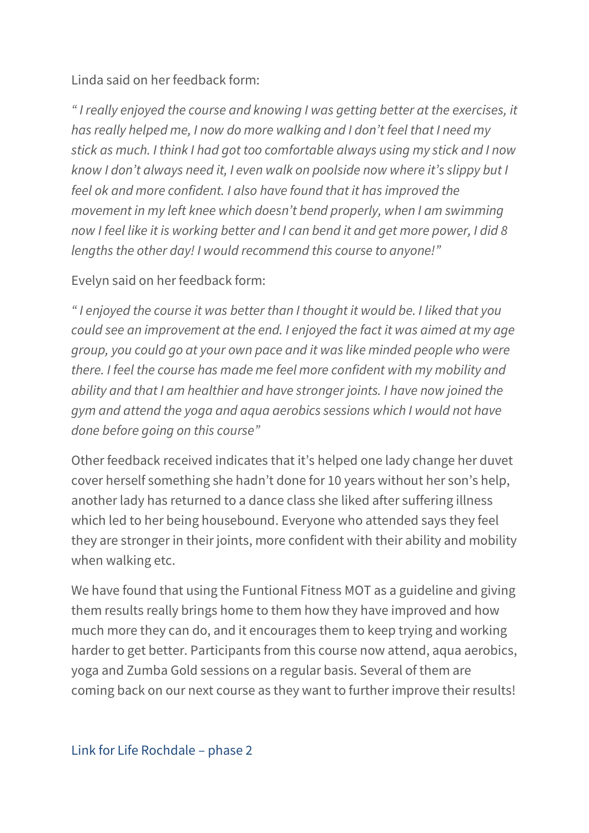Linda said on her feedback form:

*" I really enjoyed the course and knowing I was getting better at the exercises, it has really helped me, I now do more walking and I don't feel that I need my stick as much. I think I had got too comfortable always using my stick and I now know I don't always need it, I even walk on poolside now where it's slippy but I feel ok and more confident. I also have found that it has improved the movement in my left knee which doesn't bend properly, when I am swimming now I feel like it is working better and I can bend it and get more power, I did 8 lengths the other day! I would recommend this course to anyone!"*

Evelyn said on her feedback form:

*" I enjoyed the course it was better than I thought it would be. I liked that you could see an improvement at the end. I enjoyed the fact it was aimed at my age group, you could go at your own pace and it was like minded people who were there. I feel the course has made me feel more confident with my mobility and ability and that I am healthier and have stronger joints. I have now joined the gym and attend the yoga and aqua aerobics sessions which I would not have done before going on this course"*

Other feedback received indicates that it's helped one lady change her duvet cover herself something she hadn't done for 10 years without her son's help, another lady has returned to a dance class she liked after suffering illness which led to her being housebound. Everyone who attended says they feel they are stronger in their joints, more confident with their ability and mobility when walking etc.

We have found that using the Funtional Fitness MOT as a guideline and giving them results really brings home to them how they have improved and how much more they can do, and it encourages them to keep trying and working harder to get better. Participants from this course now attend, aqua aerobics, yoga and Zumba Gold sessions on a regular basis. Several of them are coming back on our next course as they want to further improve their results!